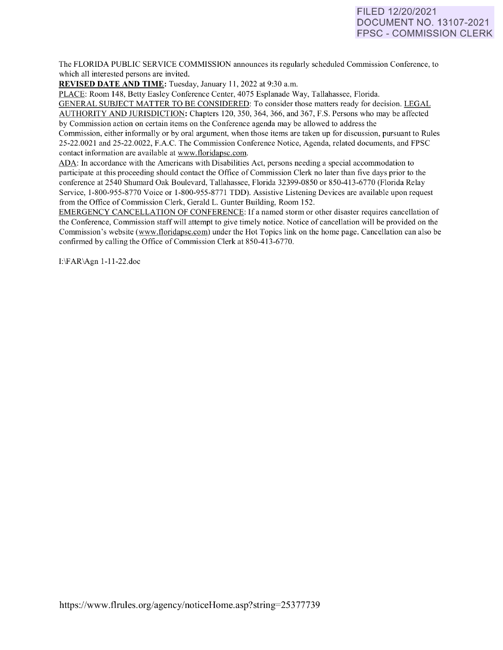# FILED 12/20/2021 DOCUMENT NO. 13107-2021 FPSC - COMMISSION CLERK

The FLORIDA PUBLIC SERVICE COMMISSION announces its regularly scheduled Commission Conference, to which all interested persons are invited.

**REVISED DATE AND TIME:** Tuesday, January 11, 2022 at 9:30 a.m.

PLACE: Room 148, Betty Easley Conference Center, 4075 Esplanade Way, Tallahassee, Florida. GENERAL SUBJECT MATTER TO BE CONSIDERED: To consider those matters ready for decision. LEGAL AUTHORITY AND JURISDICTION: Chapters 120,350, 364, 366, and 367, F.S. Persons who may be affected by Commission action on certain items on the Conference agenda may be allowed to address the

Commission, either informally or by oral argument, when those items are taken up for discussion, pursuant to Rules 25-22.0021 and 25-22.0022, F.A.C. The Commission Conference Notice, Agenda, related documents, and FPSC contact information are available at [www.floridapsc.com.](http://www.floridapsc.com/) 

ADA: In accordance with the Americans with Disabilities Act, persons needing a special accommodation to participate at this proceeding should contact the Office of Commission Clerk no later than five days prior to the conference at 2540 Shumard Oak Boulevard, Tallahassee, Florida 32399-0850 or 850-413-6770 (Florida Relay Service, 1-800-955-8770 Voice or 1-800-955-877 I TDD). Assistive Listening Devices are available upon request from the Office of Commission Clerk, Gerald L. Gunter Building, Room 152.

EMERGENCY CANCELLATION OF CONFERENCE: If a named storm or other disaster requires cancellation of the Conference, Commission staff will attempt to give timely notice. Notice of cancellation will be provided on the Commission's website [\(www.floridapsc.com\)](http://www.floridapsc.com/) under the Hot Topics link on the home page. Cancellation can also be confirmed by calling the Office of Commission Clerk at 850-413-6770.

1:\FAR\Agn 1-11-22.doc